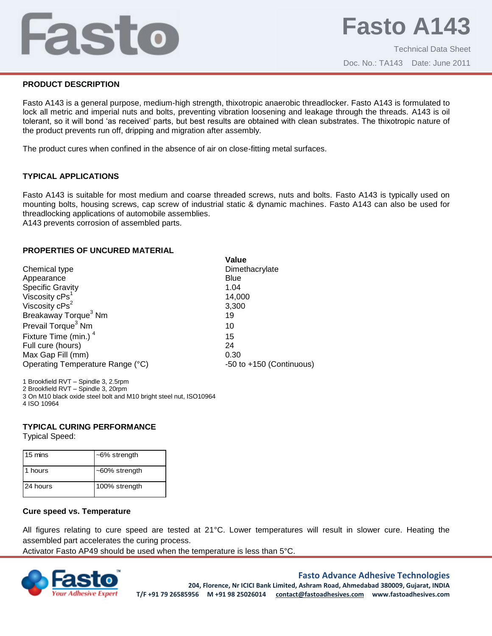## Fasto

#### **PRODUCT DESCRIPTION**

Fasto A143 is a general purpose, medium-high strength, thixotropic anaerobic threadlocker. Fasto A143 is formulated to lock all metric and imperial nuts and bolts, preventing vibration loosening and leakage through the threads. A143 is oil tolerant, so it will bond 'as received' parts, but best results are obtained with clean substrates. The thixotropic nature of the product prevents run off, dripping and migration after assembly.

The product cures when confined in the absence of air on close-fitting metal surfaces.

### **TYPICAL APPLICATIONS**

Fasto A143 is suitable for most medium and coarse threaded screws, nuts and bolts. Fasto A143 is typically used on mounting bolts, housing screws, cap screw of industrial static & dynamic machines. Fasto A143 can also be used for threadlocking applications of automobile assemblies.

**Value**

Dimethacrylate

A143 prevents corrosion of assembled parts.

#### **PROPERTIES OF UNCURED MATERIAL**

| Chemical type                    | Dime  |
|----------------------------------|-------|
| Appearance                       | Blue  |
| <b>Specific Gravity</b>          | 1.04  |
| Viscosity cPs <sup>1</sup>       | 14,0  |
| Viscosity $cPs^2$                | 3,30  |
| Breakaway Torque <sup>3</sup> Nm | 19    |
| Prevail Torque <sup>3</sup> Nm   | 10    |
| Fixture Time (min.) <sup>4</sup> | 15    |
| Full cure (hours)                | 24    |
| Max Gap Fill (mm)                | 0.30  |
| Operating Temperature Range (°C) | -50 t |
|                                  |       |

14,000 3,300 15  $-50$  to  $+150$  (Continuous)

Brookfield RVT – Spindle 3, 2.5rpm Brookfield RVT – Spindle 3, 20rpm On M10 black oxide steel bolt and M10 bright steel nut, ISO10964 ISO 10964

## **TYPICAL CURING PERFORMANCE**

Typical Speed:

| 15 mins  | $~5\%$ strength  |
|----------|------------------|
| 1 hours  | $~50\%$ strength |
| 24 hours | 100% strength    |

#### **Cure speed vs. Temperature**

All figures relating to cure speed are tested at 21°C. Lower temperatures will result in slower cure. Heating the assembled part accelerates the curing process.

Activator Fasto AP49 should be used when the temperature is less than 5°C.



#### **Fasto Advance Adhesive Technologies**

**204, Florence, Nr ICICI Bank Limited, Ashram Road, Ahmedabad 380009, Gujarat, INDIA T/F +91 79 26585956 M +91 98 25026014 contact@fastoadhesives.com www.fastoadhesives.com**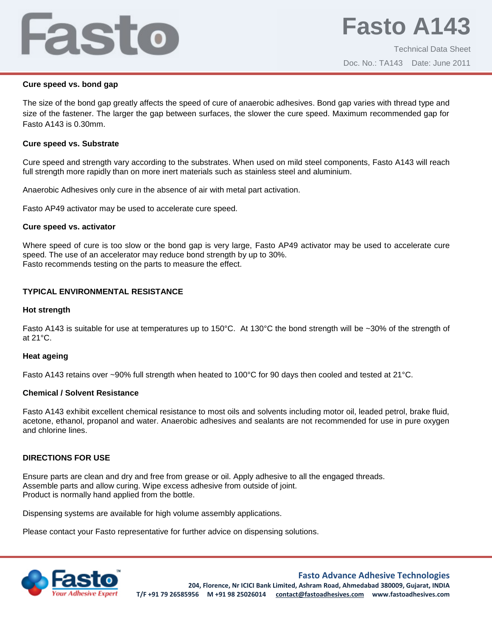# Fasto

## **Cure speed vs. bond gap**

The size of the bond gap greatly affects the speed of cure of anaerobic adhesives. Bond gap varies with thread type and size of the fastener. The larger the gap between surfaces, the slower the cure speed. Maximum recommended gap for Fasto A143 is 0.30mm.

## **Cure speed vs. Substrate**

Cure speed and strength vary according to the substrates. When used on mild steel components, Fasto A143 will reach full strength more rapidly than on more inert materials such as stainless steel and aluminium.

Anaerobic Adhesives only cure in the absence of air with metal part activation.

Fasto AP49 activator may be used to accelerate cure speed.

## **Cure speed vs. activator**

Where speed of cure is too slow or the bond gap is very large, Fasto AP49 activator may be used to accelerate cure speed. The use of an accelerator may reduce bond strength by up to 30%. Fasto recommends testing on the parts to measure the effect.

## **TYPICAL ENVIRONMENTAL RESISTANCE**

## **Hot strength**

Fasto A143 is suitable for use at temperatures up to 150°C. At 130°C the bond strength will be ~30% of the strength of at 21°C.

## **Heat ageing**

Fasto A143 retains over ~90% full strength when heated to 100°C for 90 days then cooled and tested at 21°C.

## **Chemical / Solvent Resistance**

Fasto A143 exhibit excellent chemical resistance to most oils and solvents including motor oil, leaded petrol, brake fluid, acetone, ethanol, propanol and water. Anaerobic adhesives and sealants are not recommended for use in pure oxygen and chlorine lines.

## **DIRECTIONS FOR USE**

Ensure parts are clean and dry and free from grease or oil. Apply adhesive to all the engaged threads. Assemble parts and allow curing. Wipe excess adhesive from outside of joint. Product is normally hand applied from the bottle.

Dispensing systems are available for high volume assembly applications.

Please contact your Fasto representative for further advice on dispensing solutions.



## **Fasto Advance Adhesive Technologies**

**204, Florence, Nr ICICI Bank Limited, Ashram Road, Ahmedabad 380009, Gujarat, INDIA T/F +91 79 26585956 M +91 98 25026014 contact@fastoadhesives.com www.fastoadhesives.com**